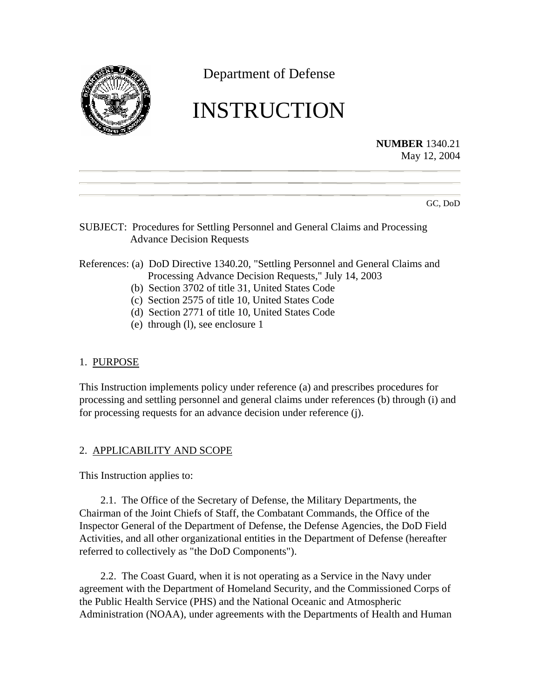

Department of Defense

# INSTRUCTION

**NUMBER** 1340.21 May 12, 2004

GC, DoD

## SUBJECT: Procedures for Settling Personnel and General Claims and Processing Advance Decision Requests

# References: (a) DoD Directive 1340.20, "Settling Personnel and General Claims and Processing Advance Decision Requests," July 14, 2003

- (b) Section 3702 of title 31, United States Code
- (c) Section 2575 of title 10, United States Code
- (d) Section 2771 of title 10, United States Code
- (e) through (l), see enclosure 1

## 1. PURPOSE

This Instruction implements policy under reference (a) and prescribes procedures for processing and settling personnel and general claims under references (b) through (i) and for processing requests for an advance decision under reference (j).

# 2. APPLICABILITY AND SCOPE

This Instruction applies to:

2.1. The Office of the Secretary of Defense, the Military Departments, the Chairman of the Joint Chiefs of Staff, the Combatant Commands, the Office of the Inspector General of the Department of Defense, the Defense Agencies, the DoD Field Activities, and all other organizational entities in the Department of Defense (hereafter referred to collectively as "the DoD Components").

2.2. The Coast Guard, when it is not operating as a Service in the Navy under agreement with the Department of Homeland Security, and the Commissioned Corps of the Public Health Service (PHS) and the National Oceanic and Atmospheric Administration (NOAA), under agreements with the Departments of Health and Human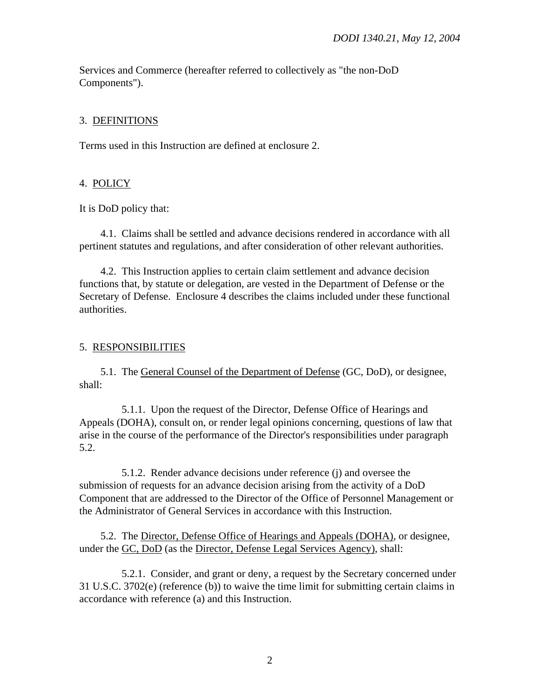Services and Commerce (hereafter referred to collectively as "the non-DoD Components").

## 3. DEFINITIONS

Terms used in this Instruction are defined at enclosure 2.

## 4. POLICY

It is DoD policy that:

4.1. Claims shall be settled and advance decisions rendered in accordance with all pertinent statutes and regulations, and after consideration of other relevant authorities.

4.2. This Instruction applies to certain claim settlement and advance decision functions that, by statute or delegation, are vested in the Department of Defense or the Secretary of Defense. Enclosure 4 describes the claims included under these functional authorities.

## 5. RESPONSIBILITIES

5.1. The General Counsel of the Department of Defense (GC, DoD), or designee, shall:

5.1.1. Upon the request of the Director, Defense Office of Hearings and Appeals (DOHA), consult on, or render legal opinions concerning, questions of law that arise in the course of the performance of the Director's responsibilities under paragraph 5.2.

5.1.2. Render advance decisions under reference (j) and oversee the submission of requests for an advance decision arising from the activity of a DoD Component that are addressed to the Director of the Office of Personnel Management or the Administrator of General Services in accordance with this Instruction.

5.2. The Director, Defense Office of Hearings and Appeals (DOHA), or designee, under the GC, DoD (as the Director, Defense Legal Services Agency), shall:

5.2.1. Consider, and grant or deny, a request by the Secretary concerned under 31 U.S.C. 3702(e) (reference (b)) to waive the time limit for submitting certain claims in accordance with reference (a) and this Instruction.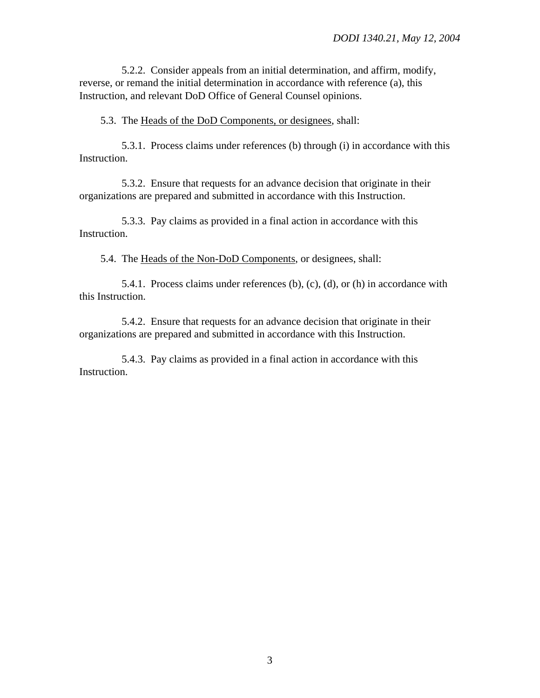5.2.2. Consider appeals from an initial determination, and affirm, modify, reverse, or remand the initial determination in accordance with reference (a), this Instruction, and relevant DoD Office of General Counsel opinions.

5.3. The Heads of the DoD Components, or designees, shall:

5.3.1. Process claims under references (b) through (i) in accordance with this Instruction.

5.3.2. Ensure that requests for an advance decision that originate in their organizations are prepared and submitted in accordance with this Instruction.

5.3.3. Pay claims as provided in a final action in accordance with this Instruction.

5.4. The Heads of the Non-DoD Components, or designees, shall:

5.4.1. Process claims under references (b), (c), (d), or (h) in accordance with this Instruction.

5.4.2. Ensure that requests for an advance decision that originate in their organizations are prepared and submitted in accordance with this Instruction.

5.4.3. Pay claims as provided in a final action in accordance with this Instruction.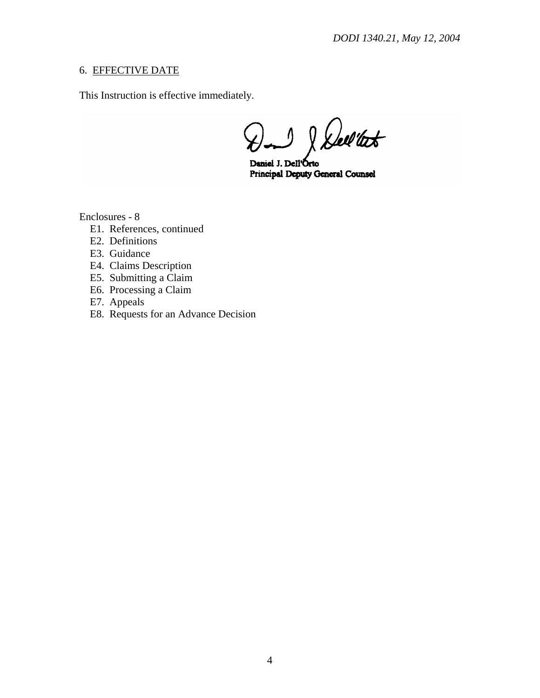# 6. EFFECTIVE DATE

This Instruction is effective immediately.

& Dell'test  $\Lambda$ 

Daniel J. Dell'Orto **Principal Deputy General Counsel** 

Enclosures - 8

- E1. References, continued
- E2. Definitions
- E3. Guidance
- E4. Claims Description
- E5. Submitting a Claim
- E6. Processing a Claim
- E7. Appeals
- E8. Requests for an Advance Decision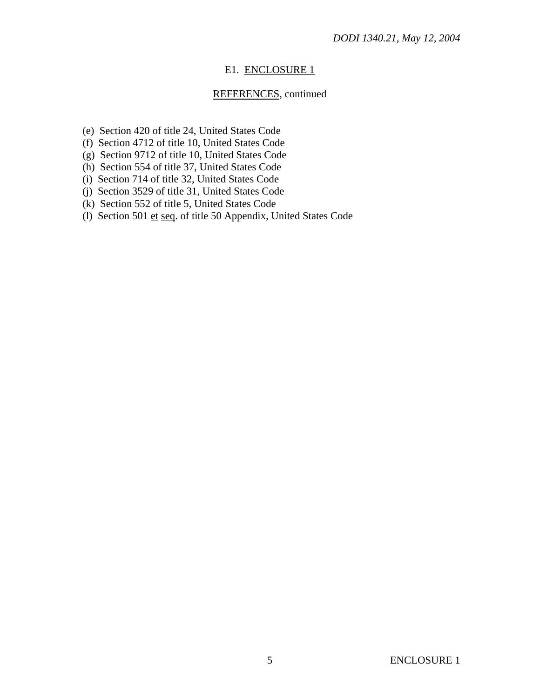## E1. ENCLOSURE 1

# REFERENCES, continued

- (e) Section 420 of title 24, United States Code
- (f) Section 4712 of title 10, United States Code
- (g) Section 9712 of title 10, United States Code
- (h) Section 554 of title 37, United States Code
- (i) Section 714 of title 32, United States Code
- (j) Section 3529 of title 31, United States Code
- (k) Section 552 of title 5, United States Code
- (l) Section 501 et seq. of title 50 Appendix, United States Code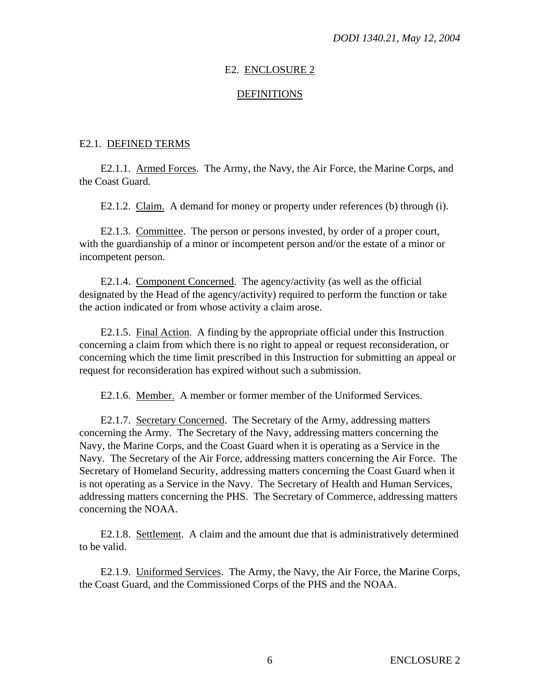## E2. ENCLOSURE 2

#### DEFINITIONS

## E2.1. DEFINED TERMS

E2.1.1. Armed Forces. The Army, the Navy, the Air Force, the Marine Corps, and the Coast Guard.

E2.1.2. Claim. A demand for money or property under references (b) through (i).

E2.1.3. Committee. The person or persons invested, by order of a proper court, with the guardianship of a minor or incompetent person and/or the estate of a minor or incompetent person.

E2.1.4. Component Concerned. The agency/activity (as well as the official designated by the Head of the agency/activity) required to perform the function or take the action indicated or from whose activity a claim arose.

E2.1.5. Final Action. A finding by the appropriate official under this Instruction concerning a claim from which there is no right to appeal or request reconsideration, or concerning which the time limit prescribed in this Instruction for submitting an appeal or request for reconsideration has expired without such a submission.

E2.1.6. Member. A member or former member of the Uniformed Services.

E2.1.7. Secretary Concerned. The Secretary of the Army, addressing matters concerning the Army. The Secretary of the Navy, addressing matters concerning the Navy, the Marine Corps, and the Coast Guard when it is operating as a Service in the Navy. The Secretary of the Air Force, addressing matters concerning the Air Force. The Secretary of Homeland Security, addressing matters concerning the Coast Guard when it is not operating as a Service in the Navy. The Secretary of Health and Human Services, addressing matters concerning the PHS. The Secretary of Commerce, addressing matters concerning the NOAA.

E2.1.8. Settlement. A claim and the amount due that is administratively determined to be valid.

E2.1.9. Uniformed Services. The Army, the Navy, the Air Force, the Marine Corps, the Coast Guard, and the Commissioned Corps of the PHS and the NOAA.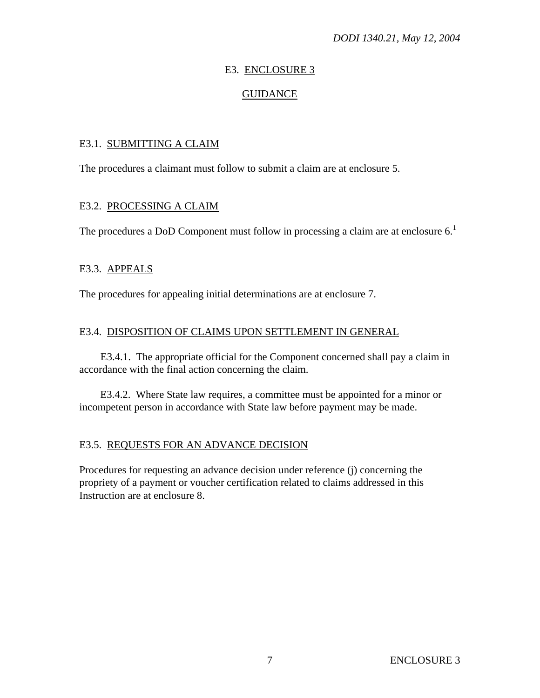## E3. ENCLOSURE 3

## GUIDANCE

## E3.1. SUBMITTING A CLAIM

The procedures a claimant must follow to submit a claim are at enclosure 5.

## E3.2. PROCESSING A CLAIM

The procedures a DoD Component must follow in processing a claim are at enclosure  $6<sup>1</sup>$ 

## E3.3. APPEALS

The procedures for appealing initial determinations are at enclosure 7.

## E3.4. DISPOSITION OF CLAIMS UPON SETTLEMENT IN GENERAL

E3.4.1. The appropriate official for the Component concerned shall pay a claim in accordance with the final action concerning the claim.

E3.4.2. Where State law requires, a committee must be appointed for a minor or incompetent person in accordance with State law before payment may be made.

## E3.5. REQUESTS FOR AN ADVANCE DECISION

Procedures for requesting an advance decision under reference (j) concerning the propriety of a payment or voucher certification related to claims addressed in this Instruction are at enclosure 8.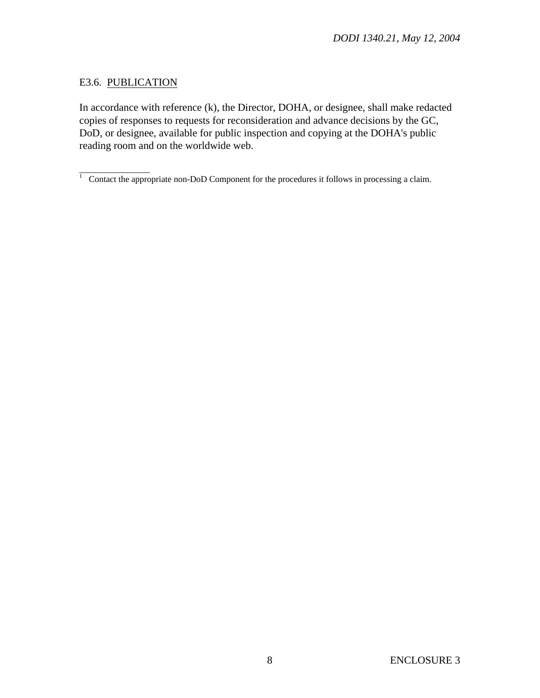# E3.6. PUBLICATION

In accordance with reference (k), the Director, DOHA, or designee, shall make redacted copies of responses to requests for reconsideration and advance decisions by the GC, DoD, or designee, available for public inspection and copying at the DOHA's public reading room and on the worldwide web.

 $\frac{1}{1}$  Contact the appropriate non-DoD Component for the procedures it follows in processing a claim.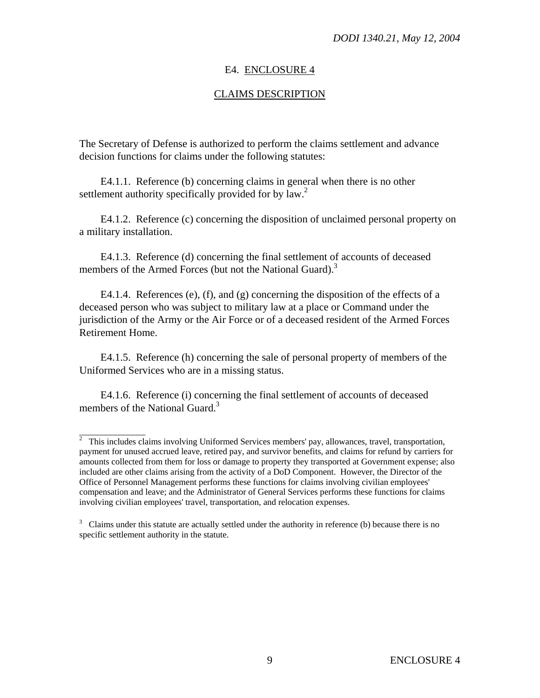## E4. ENCLOSURE 4

## CLAIMS DESCRIPTION

The Secretary of Defense is authorized to perform the claims settlement and advance decision functions for claims under the following statutes:

E4.1.1. Reference (b) concerning claims in general when there is no other settlement authority specifically provided for by  $law^2$ .

E4.1.2. Reference (c) concerning the disposition of unclaimed personal property on a military installation.

E4.1.3. Reference (d) concerning the final settlement of accounts of deceased members of the Armed Forces (but not the National Guard).<sup>3</sup>

E4.1.4. References (e), (f), and (g) concerning the disposition of the effects of a deceased person who was subject to military law at a place or Command under the jurisdiction of the Army or the Air Force or of a deceased resident of the Armed Forces Retirement Home.

E4.1.5. Reference (h) concerning the sale of personal property of members of the Uniformed Services who are in a missing status.

E4.1.6. Reference (i) concerning the final settlement of accounts of deceased members of the National Guard.<sup>3</sup>

<sup>&</sup>lt;sup>2</sup> This includes claims involving Uniformed Services members' pay, allowances, travel, transportation, payment for unused accrued leave, retired pay, and survivor benefits, and claims for refund by carriers for amounts collected from them for loss or damage to property they transported at Government expense; also included are other claims arising from the activity of a DoD Component. However, the Director of the Office of Personnel Management performs these functions for claims involving civilian employees' compensation and leave; and the Administrator of General Services performs these functions for claims involving civilian employees' travel, transportation, and relocation expenses.

 $3$  Claims under this statute are actually settled under the authority in reference (b) because there is no specific settlement authority in the statute.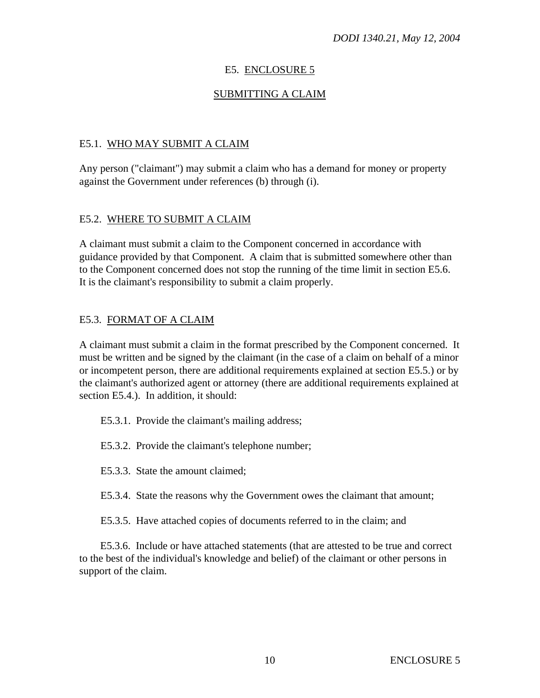# E5. ENCLOSURE 5

# SUBMITTING A CLAIM

# E5.1. WHO MAY SUBMIT A CLAIM

Any person ("claimant") may submit a claim who has a demand for money or property against the Government under references (b) through (i).

# E5.2. WHERE TO SUBMIT A CLAIM

A claimant must submit a claim to the Component concerned in accordance with guidance provided by that Component. A claim that is submitted somewhere other than to the Component concerned does not stop the running of the time limit in section E5.6. It is the claimant's responsibility to submit a claim properly.

# E5.3. FORMAT OF A CLAIM

A claimant must submit a claim in the format prescribed by the Component concerned. It must be written and be signed by the claimant (in the case of a claim on behalf of a minor or incompetent person, there are additional requirements explained at section E5.5.) or by the claimant's authorized agent or attorney (there are additional requirements explained at section E5.4.). In addition, it should:

E5.3.1. Provide the claimant's mailing address;

- E5.3.2. Provide the claimant's telephone number;
- E5.3.3. State the amount claimed;
- E5.3.4. State the reasons why the Government owes the claimant that amount;
- E5.3.5. Have attached copies of documents referred to in the claim; and

E5.3.6. Include or have attached statements (that are attested to be true and correct to the best of the individual's knowledge and belief) of the claimant or other persons in support of the claim.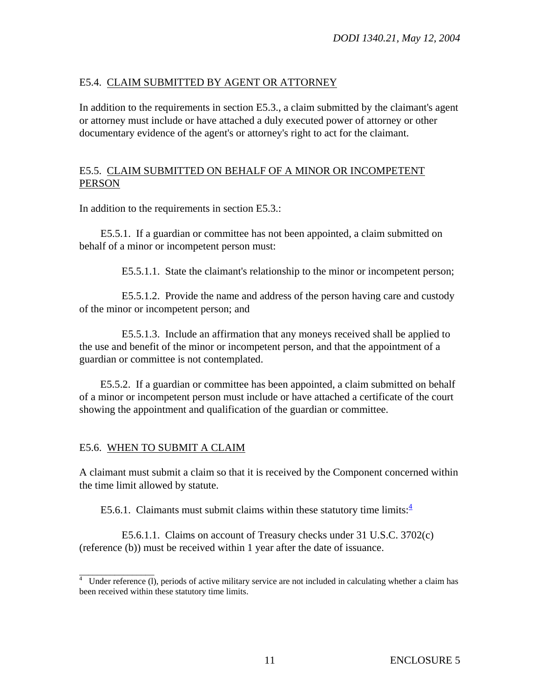# E5.4. CLAIM SUBMITTED BY AGENT OR ATTORNEY

In addition to the requirements in section E5.3., a claim submitted by the claimant's agent or attorney must include or have attached a duly executed power of attorney or other documentary evidence of the agent's or attorney's right to act for the claimant.

# E5.5. CLAIM SUBMITTED ON BEHALF OF A MINOR OR INCOMPETENT PERSON

In addition to the requirements in section E5.3.:

E5.5.1. If a guardian or committee has not been appointed, a claim submitted on behalf of a minor or incompetent person must:

E5.5.1.1. State the claimant's relationship to the minor or incompetent person;

E5.5.1.2. Provide the name and address of the person having care and custody of the minor or incompetent person; and

E5.5.1.3. Include an affirmation that any moneys received shall be applied to the use and benefit of the minor or incompetent person, and that the appointment of a guardian or committee is not contemplated.

E5.5.2. If a guardian or committee has been appointed, a claim submitted on behalf of a minor or incompetent person must include or have attached a certificate of the court showing the appointment and qualification of the guardian or committee.

# E5.6. WHEN TO SUBMIT A CLAIM

A claimant must submit a claim so that it is received by the Component concerned within the time limit allowed by statute.

E5.6.1. Claimants must submit claims within these statutory time limits: $4$ 

E5.6.1.1. Claims on account of Treasury checks under 31 U.S.C. 3702(c) (reference (b)) must be received within 1 year after the date of issuance.

 $\frac{4}{4}$  Under reference (l), periods of active military service are not included in calculating whether a claim has been received within these statutory time limits.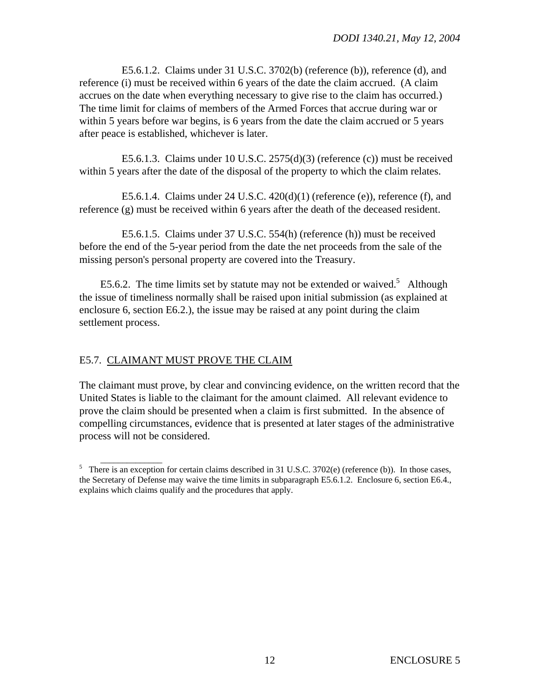E5.6.1.2. Claims under 31 U.S.C. 3702(b) (reference (b)), reference (d), and reference (i) must be received within 6 years of the date the claim accrued. (A claim accrues on the date when everything necessary to give rise to the claim has occurred.) The time limit for claims of members of the Armed Forces that accrue during war or within 5 years before war begins, is 6 years from the date the claim accrued or 5 years after peace is established, whichever is later.

E5.6.1.3. Claims under 10 U.S.C. 2575(d)(3) (reference (c)) must be received within 5 years after the date of the disposal of the property to which the claim relates.

E5.6.1.4. Claims under  $24$  U.S.C.  $420(d)(1)$  (reference (e)), reference (f), and reference (g) must be received within 6 years after the death of the deceased resident.

E5.6.1.5. Claims under 37 U.S.C. 554(h) (reference (h)) must be received before the end of the 5-year period from the date the net proceeds from the sale of the missing person's personal property are covered into the Treasury.

E5.6.2. The time limits set by statute may not be extended or waived.<sup>5</sup> Although the issue of timeliness normally shall be raised upon initial submission (as explained at enclosure 6, section E6.2.), the issue may be raised at any point during the claim settlement process.

## E5.7. CLAIMANT MUST PROVE THE CLAIM

The claimant must prove, by clear and convincing evidence, on the written record that the United States is liable to the claimant for the amount claimed. All relevant evidence to prove the claim should be presented when a claim is first submitted. In the absence of compelling circumstances, evidence that is presented at later stages of the administrative process will not be considered.

<sup>&</sup>lt;sup>5</sup> There is an exception for certain claims described in 31 U.S.C. 3702(e) (reference (b)). In those cases, the Secretary of Defense may waive the time limits in subparagraph E5.6.1.2. Enclosure 6, section E6.4., explains which claims qualify and the procedures that apply.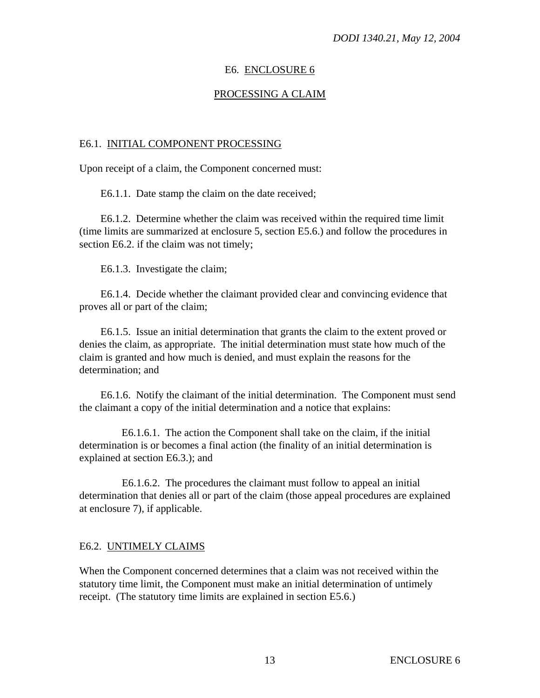## E6. ENCLOSURE 6

## PROCESSING A CLAIM

#### E6.1. INITIAL COMPONENT PROCESSING

Upon receipt of a claim, the Component concerned must:

E6.1.1. Date stamp the claim on the date received;

E6.1.2. Determine whether the claim was received within the required time limit (time limits are summarized at enclosure 5, section E5.6.) and follow the procedures in section E6.2. if the claim was not timely;

E6.1.3. Investigate the claim;

E6.1.4. Decide whether the claimant provided clear and convincing evidence that proves all or part of the claim;

E6.1.5. Issue an initial determination that grants the claim to the extent proved or denies the claim, as appropriate. The initial determination must state how much of the claim is granted and how much is denied, and must explain the reasons for the determination; and

E6.1.6. Notify the claimant of the initial determination. The Component must send the claimant a copy of the initial determination and a notice that explains:

E6.1.6.1. The action the Component shall take on the claim, if the initial determination is or becomes a final action (the finality of an initial determination is explained at section E6.3.); and

E6.1.6.2. The procedures the claimant must follow to appeal an initial determination that denies all or part of the claim (those appeal procedures are explained at enclosure 7), if applicable.

#### E6.2. UNTIMELY CLAIMS

When the Component concerned determines that a claim was not received within the statutory time limit, the Component must make an initial determination of untimely receipt. (The statutory time limits are explained in section E5.6.)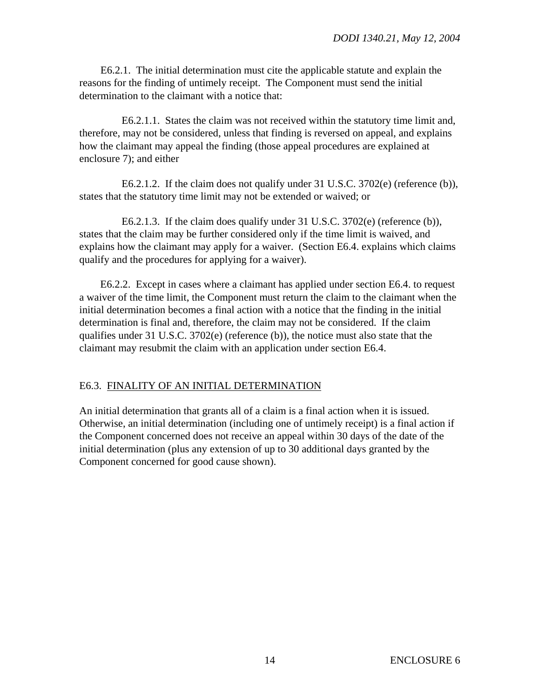E6.2.1. The initial determination must cite the applicable statute and explain the reasons for the finding of untimely receipt. The Component must send the initial determination to the claimant with a notice that:

E6.2.1.1. States the claim was not received within the statutory time limit and, therefore, may not be considered, unless that finding is reversed on appeal, and explains how the claimant may appeal the finding (those appeal procedures are explained at enclosure 7); and either

E6.2.1.2. If the claim does not qualify under 31 U.S.C. 3702(e) (reference (b)), states that the statutory time limit may not be extended or waived; or

E6.2.1.3. If the claim does qualify under 31 U.S.C. 3702(e) (reference (b)), states that the claim may be further considered only if the time limit is waived, and explains how the claimant may apply for a waiver. (Section E6.4. explains which claims qualify and the procedures for applying for a waiver).

E6.2.2. Except in cases where a claimant has applied under section E6.4. to request a waiver of the time limit, the Component must return the claim to the claimant when the initial determination becomes a final action with a notice that the finding in the initial determination is final and, therefore, the claim may not be considered. If the claim qualifies under 31 U.S.C. 3702(e) (reference (b)), the notice must also state that the claimant may resubmit the claim with an application under section E6.4.

## E6.3. FINALITY OF AN INITIAL DETERMINATION

An initial determination that grants all of a claim is a final action when it is issued. Otherwise, an initial determination (including one of untimely receipt) is a final action if the Component concerned does not receive an appeal within 30 days of the date of the initial determination (plus any extension of up to 30 additional days granted by the Component concerned for good cause shown).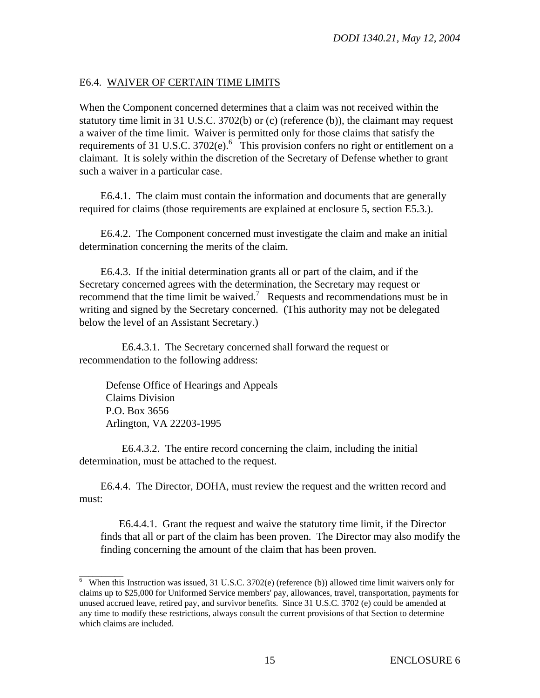## E6.4. WAIVER OF CERTAIN TIME LIMITS

When the Component concerned determines that a claim was not received within the statutory time limit in 31 U.S.C. 3702(b) or (c) (reference (b)), the claimant may request a waiver of the time limit. Waiver is permitted only for those claims that satisfy the requirements of 31 U.S.C.  $3702(e)$ .<sup>6</sup> This provision confers no right or entitlement on a claimant. It is solely within the discretion of the Secretary of Defense whether to grant such a waiver in a particular case.

E6.4.1. The claim must contain the information and documents that are generally required for claims (those requirements are explained at enclosure 5, section E5.3.).

E6.4.2. The Component concerned must investigate the claim and make an initial determination concerning the merits of the claim.

E6.4.3. If the initial determination grants all or part of the claim, and if the Secretary concerned agrees with the determination, the Secretary may request or recommend that the time limit be waived.<sup>7</sup> Requests and recommendations must be in writing and signed by the Secretary concerned. (This authority may not be delegated below the level of an Assistant Secretary.)

E6.4.3.1. The Secretary concerned shall forward the request or recommendation to the following address:

 Defense Office of Hearings and Appeals Claims Division P.O. Box 3656 Arlington, VA 22203-1995

E6.4.3.2. The entire record concerning the claim, including the initial determination, must be attached to the request.

E6.4.4. The Director, DOHA, must review the request and the written record and must:

E6.4.4.1. Grant the request and waive the statutory time limit, if the Director finds that all or part of the claim has been proven. The Director may also modify the finding concerning the amount of the claim that has been proven.

<sup>&</sup>lt;sup>6</sup> When this Instruction was issued, 31 U.S.C. 3702(e) (reference (b)) allowed time limit waivers only for claims up to \$25,000 for Uniformed Service members' pay, allowances, travel, transportation, payments for unused accrued leave, retired pay, and survivor benefits. Since 31 U.S.C. 3702 (e) could be amended at any time to modify these restrictions, always consult the current provisions of that Section to determine which claims are included.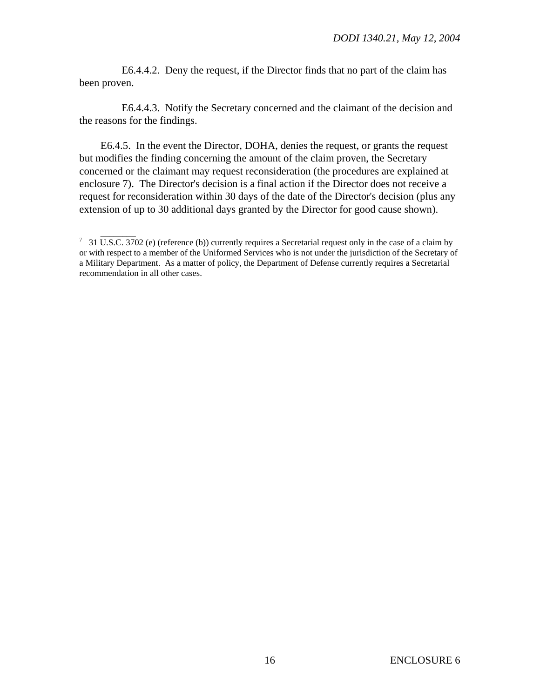E6.4.4.2. Deny the request, if the Director finds that no part of the claim has been proven.

E6.4.4.3. Notify the Secretary concerned and the claimant of the decision and the reasons for the findings.

E6.4.5. In the event the Director, DOHA, denies the request, or grants the request but modifies the finding concerning the amount of the claim proven, the Secretary concerned or the claimant may request reconsideration (the procedures are explained at enclosure 7). The Director's decision is a final action if the Director does not receive a request for reconsideration within 30 days of the date of the Director's decision (plus any extension of up to 30 additional days granted by the Director for good cause shown).

<sup>&</sup>lt;sup>7</sup> 31 U.S.C. 3702 (e) (reference (b)) currently requires a Secretarial request only in the case of a claim by or with respect to a member of the Uniformed Services who is not under the jurisdiction of the Secretary of a Military Department. As a matter of policy, the Department of Defense currently requires a Secretarial recommendation in all other cases.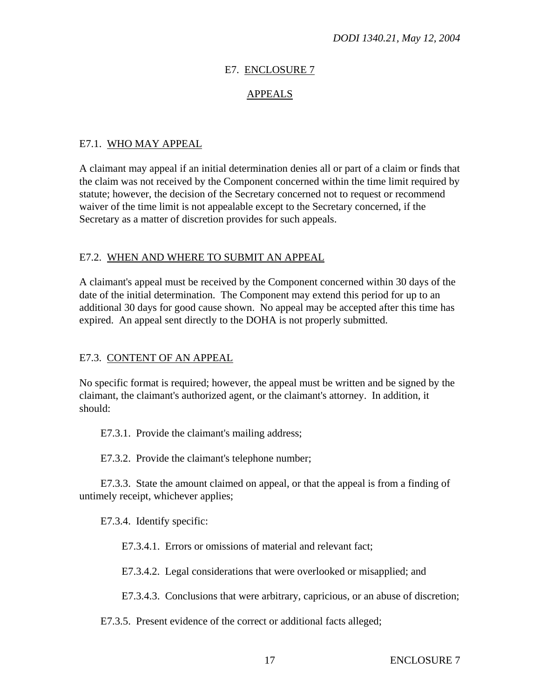## E7. ENCLOSURE 7

## APPEALS

# E7.1. WHO MAY APPEAL

A claimant may appeal if an initial determination denies all or part of a claim or finds that the claim was not received by the Component concerned within the time limit required by statute; however, the decision of the Secretary concerned not to request or recommend waiver of the time limit is not appealable except to the Secretary concerned, if the Secretary as a matter of discretion provides for such appeals.

## E7.2. WHEN AND WHERE TO SUBMIT AN APPEAL

A claimant's appeal must be received by the Component concerned within 30 days of the date of the initial determination. The Component may extend this period for up to an additional 30 days for good cause shown. No appeal may be accepted after this time has expired. An appeal sent directly to the DOHA is not properly submitted.

## E7.3. CONTENT OF AN APPEAL

No specific format is required; however, the appeal must be written and be signed by the claimant, the claimant's authorized agent, or the claimant's attorney. In addition, it should:

E7.3.1. Provide the claimant's mailing address;

E7.3.2. Provide the claimant's telephone number;

E7.3.3. State the amount claimed on appeal, or that the appeal is from a finding of untimely receipt, whichever applies;

E7.3.4. Identify specific:

E7.3.4.1. Errors or omissions of material and relevant fact;

E7.3.4.2. Legal considerations that were overlooked or misapplied; and

E7.3.4.3. Conclusions that were arbitrary, capricious, or an abuse of discretion;

E7.3.5. Present evidence of the correct or additional facts alleged;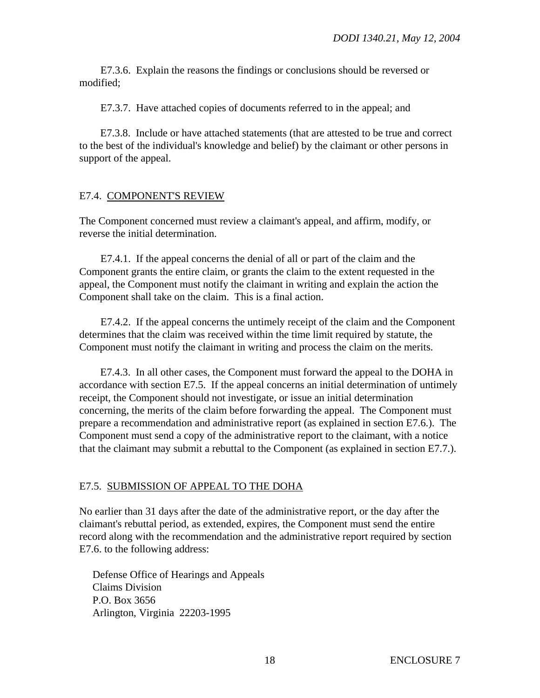E7.3.6. Explain the reasons the findings or conclusions should be reversed or modified;

E7.3.7. Have attached copies of documents referred to in the appeal; and

E7.3.8. Include or have attached statements (that are attested to be true and correct to the best of the individual's knowledge and belief) by the claimant or other persons in support of the appeal.

## E7.4. COMPONENT'S REVIEW

The Component concerned must review a claimant's appeal, and affirm, modify, or reverse the initial determination.

E7.4.1. If the appeal concerns the denial of all or part of the claim and the Component grants the entire claim, or grants the claim to the extent requested in the appeal, the Component must notify the claimant in writing and explain the action the Component shall take on the claim. This is a final action.

E7.4.2. If the appeal concerns the untimely receipt of the claim and the Component determines that the claim was received within the time limit required by statute, the Component must notify the claimant in writing and process the claim on the merits.

E7.4.3. In all other cases, the Component must forward the appeal to the DOHA in accordance with section E7.5. If the appeal concerns an initial determination of untimely receipt, the Component should not investigate, or issue an initial determination concerning, the merits of the claim before forwarding the appeal. The Component must prepare a recommendation and administrative report (as explained in section E7.6.). The Component must send a copy of the administrative report to the claimant, with a notice that the claimant may submit a rebuttal to the Component (as explained in section E7.7.).

#### E7.5. SUBMISSION OF APPEAL TO THE DOHA

No earlier than 31 days after the date of the administrative report, or the day after the claimant's rebuttal period, as extended, expires, the Component must send the entire record along with the recommendation and the administrative report required by section E7.6. to the following address:

 Defense Office of Hearings and Appeals Claims Division P.O. Box 3656 Arlington, Virginia 22203-1995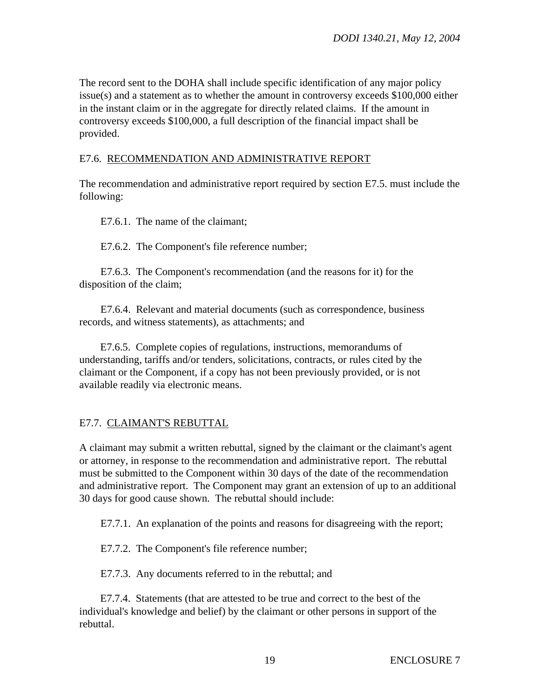The record sent to the DOHA shall include specific identification of any major policy issue(s) and a statement as to whether the amount in controversy exceeds \$100,000 either in the instant claim or in the aggregate for directly related claims. If the amount in controversy exceeds \$100,000, a full description of the financial impact shall be provided.

# E7.6. RECOMMENDATION AND ADMINISTRATIVE REPORT

The recommendation and administrative report required by section E7.5. must include the following:

E7.6.1. The name of the claimant;

E7.6.2. The Component's file reference number;

E7.6.3. The Component's recommendation (and the reasons for it) for the disposition of the claim;

E7.6.4. Relevant and material documents (such as correspondence, business records, and witness statements), as attachments; and

E7.6.5. Complete copies of regulations, instructions, memorandums of understanding, tariffs and/or tenders, solicitations, contracts, or rules cited by the claimant or the Component, if a copy has not been previously provided, or is not available readily via electronic means.

# E7.7. CLAIMANT'S REBUTTAL

A claimant may submit a written rebuttal, signed by the claimant or the claimant's agent or attorney, in response to the recommendation and administrative report. The rebuttal must be submitted to the Component within 30 days of the date of the recommendation and administrative report. The Component may grant an extension of up to an additional 30 days for good cause shown. The rebuttal should include:

E7.7.1. An explanation of the points and reasons for disagreeing with the report;

E7.7.2. The Component's file reference number;

E7.7.3. Any documents referred to in the rebuttal; and

E7.7.4. Statements (that are attested to be true and correct to the best of the individual's knowledge and belief) by the claimant or other persons in support of the rebuttal.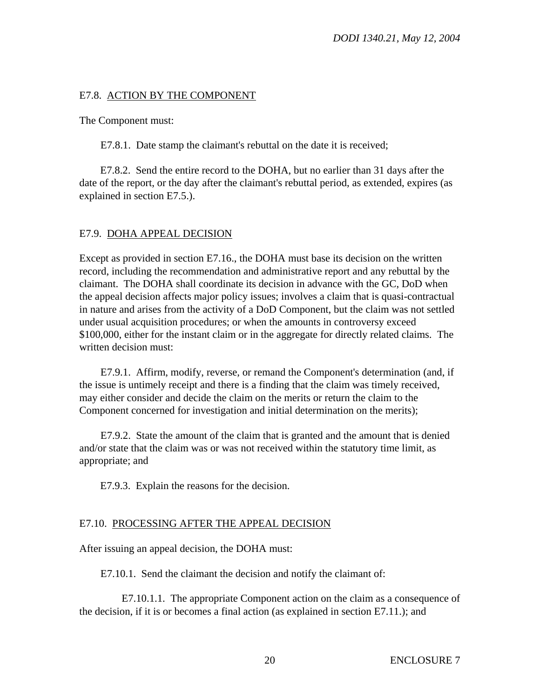## E7.8. ACTION BY THE COMPONENT

The Component must:

E7.8.1. Date stamp the claimant's rebuttal on the date it is received;

E7.8.2. Send the entire record to the DOHA, but no earlier than 31 days after the date of the report, or the day after the claimant's rebuttal period, as extended, expires (as explained in section E7.5.).

## E7.9. DOHA APPEAL DECISION

Except as provided in section E7.16., the DOHA must base its decision on the written record, including the recommendation and administrative report and any rebuttal by the claimant. The DOHA shall coordinate its decision in advance with the GC, DoD when the appeal decision affects major policy issues; involves a claim that is quasi-contractual in nature and arises from the activity of a DoD Component, but the claim was not settled under usual acquisition procedures; or when the amounts in controversy exceed \$100,000, either for the instant claim or in the aggregate for directly related claims. The written decision must:

E7.9.1. Affirm, modify, reverse, or remand the Component's determination (and, if the issue is untimely receipt and there is a finding that the claim was timely received, may either consider and decide the claim on the merits or return the claim to the Component concerned for investigation and initial determination on the merits);

E7.9.2. State the amount of the claim that is granted and the amount that is denied and/or state that the claim was or was not received within the statutory time limit, as appropriate; and

E7.9.3. Explain the reasons for the decision.

## E7.10. PROCESSING AFTER THE APPEAL DECISION

After issuing an appeal decision, the DOHA must:

E7.10.1. Send the claimant the decision and notify the claimant of:

E7.10.1.1. The appropriate Component action on the claim as a consequence of the decision, if it is or becomes a final action (as explained in section E7.11.); and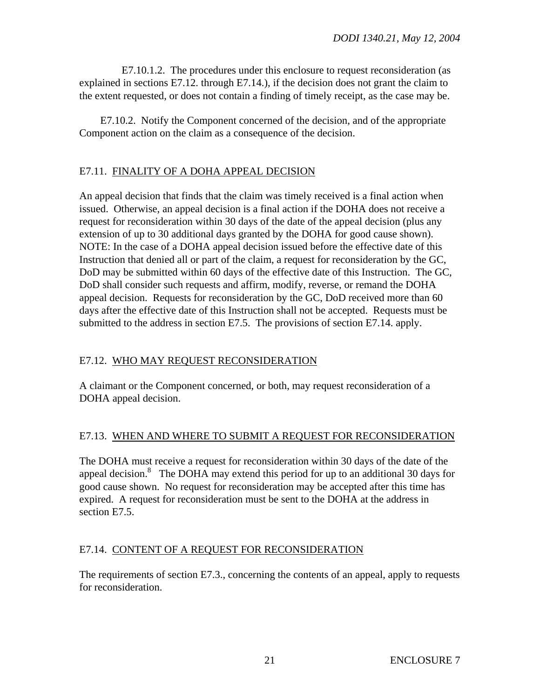E7.10.1.2. The procedures under this enclosure to request reconsideration (as explained in sections E7.12. through E7.14.), if the decision does not grant the claim to the extent requested, or does not contain a finding of timely receipt, as the case may be.

E7.10.2. Notify the Component concerned of the decision, and of the appropriate Component action on the claim as a consequence of the decision.

# E7.11. FINALITY OF A DOHA APPEAL DECISION

An appeal decision that finds that the claim was timely received is a final action when issued. Otherwise, an appeal decision is a final action if the DOHA does not receive a request for reconsideration within 30 days of the date of the appeal decision (plus any extension of up to 30 additional days granted by the DOHA for good cause shown). NOTE: In the case of a DOHA appeal decision issued before the effective date of this Instruction that denied all or part of the claim, a request for reconsideration by the GC, DoD may be submitted within 60 days of the effective date of this Instruction. The GC, DoD shall consider such requests and affirm, modify, reverse, or remand the DOHA appeal decision. Requests for reconsideration by the GC, DoD received more than 60 days after the effective date of this Instruction shall not be accepted. Requests must be submitted to the address in section E7.5. The provisions of section E7.14. apply.

# E7.12. WHO MAY REQUEST RECONSIDERATION

A claimant or the Component concerned, or both, may request reconsideration of a DOHA appeal decision.

# E7.13. WHEN AND WHERE TO SUBMIT A REQUEST FOR RECONSIDERATION

The DOHA must receive a request for reconsideration within 30 days of the date of the appeal decision. $8$  The DOHA may extend this period for up to an additional 30 days for good cause shown. No request for reconsideration may be accepted after this time has expired. A request for reconsideration must be sent to the DOHA at the address in section E7.5.

# E7.14. CONTENT OF A REQUEST FOR RECONSIDERATION

The requirements of section E7.3., concerning the contents of an appeal, apply to requests for reconsideration.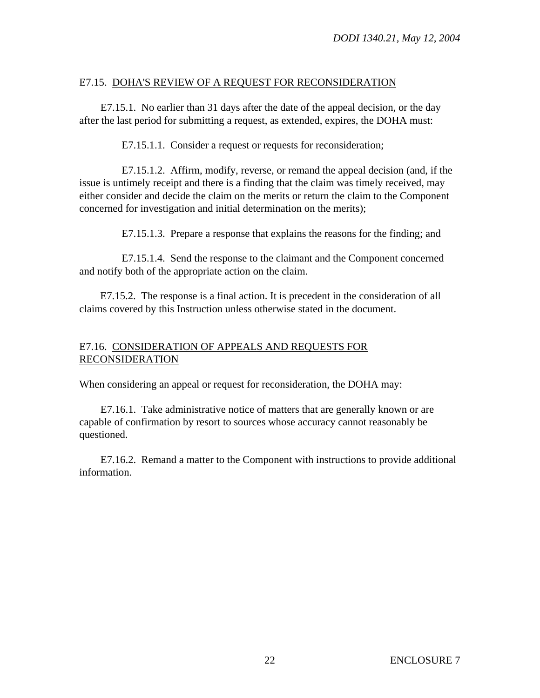## E7.15. DOHA'S REVIEW OF A REQUEST FOR RECONSIDERATION

E7.15.1. No earlier than 31 days after the date of the appeal decision, or the day after the last period for submitting a request, as extended, expires, the DOHA must:

E7.15.1.1. Consider a request or requests for reconsideration;

E7.15.1.2. Affirm, modify, reverse, or remand the appeal decision (and, if the issue is untimely receipt and there is a finding that the claim was timely received, may either consider and decide the claim on the merits or return the claim to the Component concerned for investigation and initial determination on the merits);

E7.15.1.3. Prepare a response that explains the reasons for the finding; and

E7.15.1.4. Send the response to the claimant and the Component concerned and notify both of the appropriate action on the claim.

E7.15.2. The response is a final action. It is precedent in the consideration of all claims covered by this Instruction unless otherwise stated in the document.

# E7.16. CONSIDERATION OF APPEALS AND REQUESTS FOR RECONSIDERATION

When considering an appeal or request for reconsideration, the DOHA may:

E7.16.1. Take administrative notice of matters that are generally known or are capable of confirmation by resort to sources whose accuracy cannot reasonably be questioned.

E7.16.2. Remand a matter to the Component with instructions to provide additional information.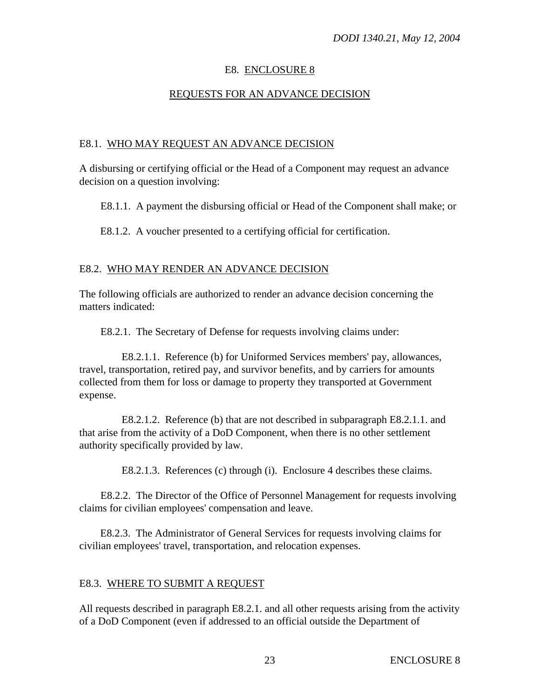# E8. ENCLOSURE 8

# REQUESTS FOR AN ADVANCE DECISION

# E8.1. WHO MAY REQUEST AN ADVANCE DECISION

A disbursing or certifying official or the Head of a Component may request an advance decision on a question involving:

E8.1.1. A payment the disbursing official or Head of the Component shall make; or

E8.1.2. A voucher presented to a certifying official for certification.

# E8.2. WHO MAY RENDER AN ADVANCE DECISION

The following officials are authorized to render an advance decision concerning the matters indicated:

E8.2.1. The Secretary of Defense for requests involving claims under:

E8.2.1.1. Reference (b) for Uniformed Services members' pay, allowances, travel, transportation, retired pay, and survivor benefits, and by carriers for amounts collected from them for loss or damage to property they transported at Government expense.

E8.2.1.2. Reference (b) that are not described in subparagraph E8.2.1.1. and that arise from the activity of a DoD Component, when there is no other settlement authority specifically provided by law.

E8.2.1.3. References (c) through (i). Enclosure 4 describes these claims.

E8.2.2. The Director of the Office of Personnel Management for requests involving claims for civilian employees' compensation and leave.

E8.2.3. The Administrator of General Services for requests involving claims for civilian employees' travel, transportation, and relocation expenses.

# E8.3. WHERE TO SUBMIT A REQUEST

All requests described in paragraph E8.2.1. and all other requests arising from the activity of a DoD Component (even if addressed to an official outside the Department of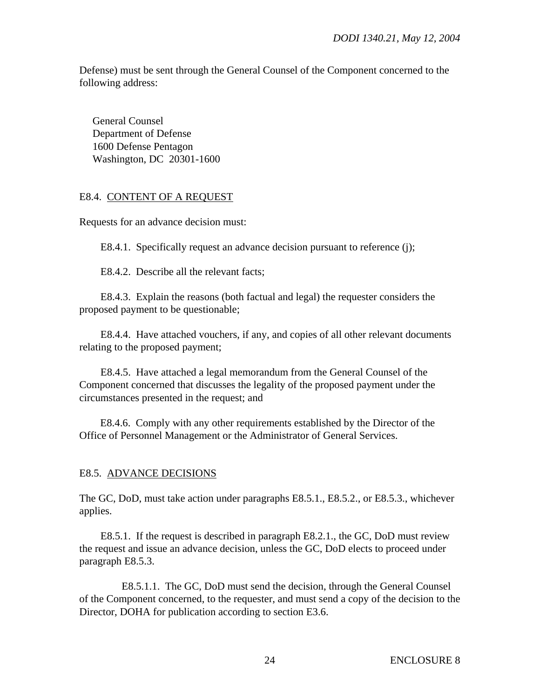Defense) must be sent through the General Counsel of the Component concerned to the following address:

 General Counsel Department of Defense 1600 Defense Pentagon Washington, DC 20301-1600

#### E8.4. CONTENT OF A REQUEST

Requests for an advance decision must:

E8.4.1. Specifically request an advance decision pursuant to reference (j);

E8.4.2. Describe all the relevant facts;

E8.4.3. Explain the reasons (both factual and legal) the requester considers the proposed payment to be questionable;

E8.4.4. Have attached vouchers, if any, and copies of all other relevant documents relating to the proposed payment;

E8.4.5. Have attached a legal memorandum from the General Counsel of the Component concerned that discusses the legality of the proposed payment under the circumstances presented in the request; and

E8.4.6. Comply with any other requirements established by the Director of the Office of Personnel Management or the Administrator of General Services.

#### E8.5. ADVANCE DECISIONS

The GC, DoD, must take action under paragraphs E8.5.1., E8.5.2., or E8.5.3., whichever applies.

E8.5.1. If the request is described in paragraph E8.2.1., the GC, DoD must review the request and issue an advance decision, unless the GC, DoD elects to proceed under paragraph E8.5.3.

E8.5.1.1. The GC, DoD must send the decision, through the General Counsel of the Component concerned, to the requester, and must send a copy of the decision to the Director, DOHA for publication according to section E3.6.